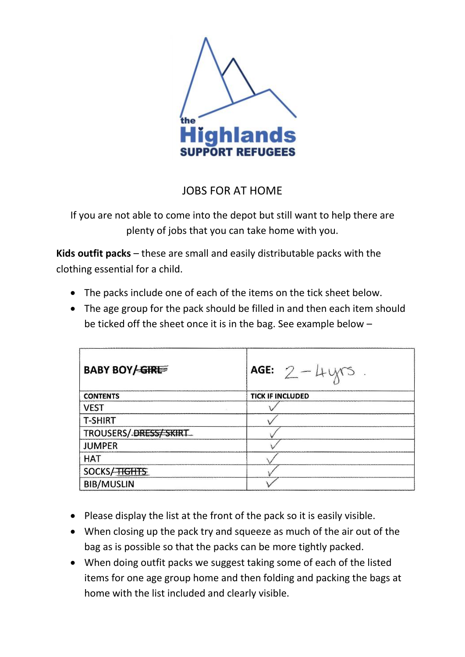

## JOBS FOR AT HOME

If you are not able to come into the depot but still want to help there are plenty of jobs that you can take home with you.

**Kids outfit packs** – these are small and easily distributable packs with the clothing essential for a child.

- The packs include one of each of the items on the tick sheet below.
- The age group for the pack should be filled in and then each item should be ticked off the sheet once it is in the bag. See example below –

| <b>BABY BOY/GIREE</b> | AGE: $2 - 4yrs$ .       |
|-----------------------|-------------------------|
| <b>CONTENTS</b>       | <b>TICK IF INCLUDED</b> |
| <b>VEST</b>           |                         |
| <b>T-SHIRT</b>        |                         |
| TROUSERS/DRESS/SKIRT  |                         |
| <b>JUMPER</b>         |                         |
| <b>HAT</b>            |                         |
| SOCKS/HGHTS           |                         |
| <b>BIB/MUSLIN</b>     |                         |

- Please display the list at the front of the pack so it is easily visible.
- When closing up the pack try and squeeze as much of the air out of the bag as is possible so that the packs can be more tightly packed.
- When doing outfit packs we suggest taking some of each of the listed items for one age group home and then folding and packing the bags at home with the list included and clearly visible.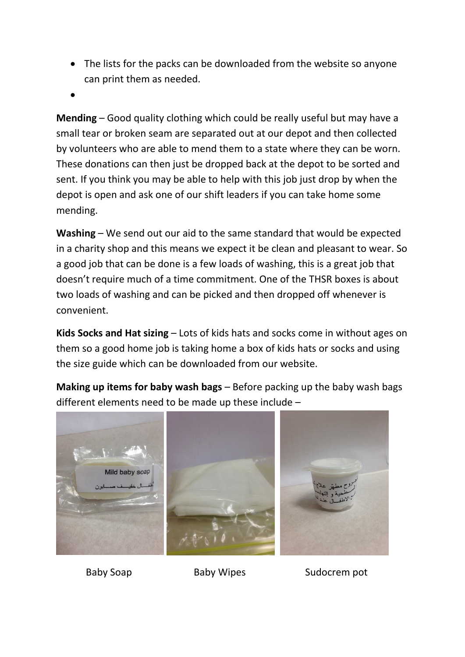- The lists for the packs can be downloaded from the website so anyone can print them as needed.
- $\bullet$

**Mending** – Good quality clothing which could be really useful but may have a small tear or broken seam are separated out at our depot and then collected by volunteers who are able to mend them to a state where they can be worn. These donations can then just be dropped back at the depot to be sorted and sent. If you think you may be able to help with this job just drop by when the depot is open and ask one of our shift leaders if you can take home some mending.

**Washing** – We send out our aid to the same standard that would be expected in a charity shop and this means we expect it be clean and pleasant to wear. So a good job that can be done is a few loads of washing, this is a great job that doesn't require much of a time commitment. One of the THSR boxes is about two loads of washing and can be picked and then dropped off whenever is convenient.

**Kids Socks and Hat sizing** – Lots of kids hats and socks come in without ages on them so a good home job is taking home a box of kids hats or socks and using the size guide which can be downloaded from our website.

**Making up items for baby wash bags** – Before packing up the baby wash bags different elements need to be made up these include –



Baby Soap Baby Wipes Sudocrem pot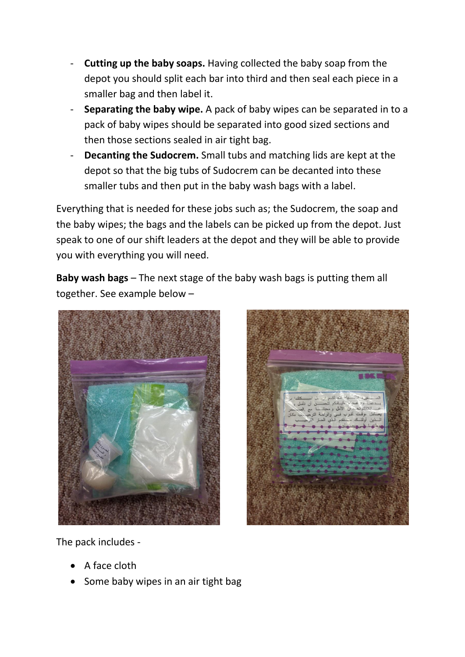- **Cutting up the baby soaps.** Having collected the baby soap from the depot you should split each bar into third and then seal each piece in a smaller bag and then label it.
- **Separating the baby wipe.** A pack of baby wipes can be separated in to a pack of baby wipes should be separated into good sized sections and then those sections sealed in air tight bag.
- **Decanting the Sudocrem.** Small tubs and matching lids are kept at the depot so that the big tubs of Sudocrem can be decanted into these smaller tubs and then put in the baby wash bags with a label.

Everything that is needed for these jobs such as; the Sudocrem, the soap and the baby wipes; the bags and the labels can be picked up from the depot. Just speak to one of our shift leaders at the depot and they will be able to provide you with everything you will need.

**Baby wash bags** – The next stage of the baby wash bags is putting them all together. See example below –



The pack includes -

- A face cloth
- Some baby wipes in an air tight bag